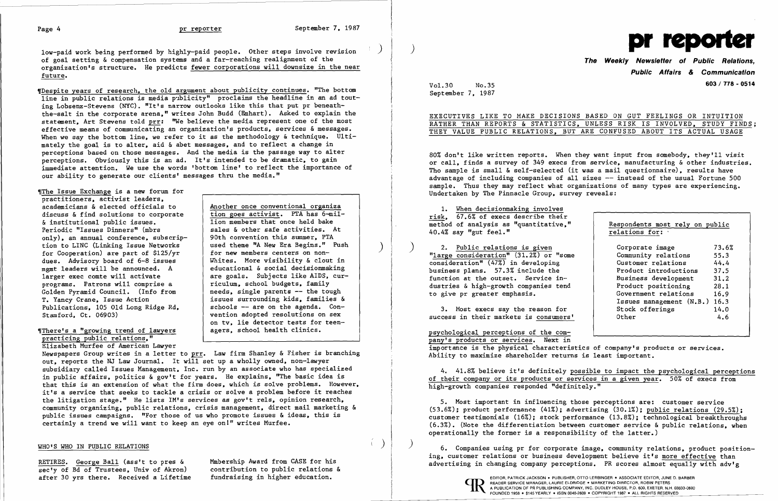low-paid work being performed by highly-paid people. Other steps involve revision of goal setting & compensation systems and a far-reaching realignment of the organization's structure. He predicts fewer corporations will downsize in the near future.

~rDespite years of research. the old argument about publicity continues. "The bottom line in public relations is media publicity" proclaims the headline in an ad touting Lobsenz-Stevens (NYC). "It's narrow outlooks like this that put pr beneaththe-salt in the corporate arena." writes John Budd (Emhart). Asked to explain the statement, Art Stevens told prr: "We believe the media represent one of the most effective means of communicating an organization's products, services & messages. When we say the bottom line, we refer to it as the methodology & technique. Ultimately the goal is to alter. aid & abet messages. and to reflect a change in perceptions based on those messages. And the media is the passage way to alter perceptions. Obviously this is an ad. It's intended to be dramatic. to gain immediate attention. We use the words 'bottom line' to reflect the importance of our ability to generate our clients' messages thru the media."

The Issue Exchange is a new forum for practitioners. activist leaders. academicians & elected officials to discuss & find solutions to corporate & institutional public issues. Periodic "Issues Dinners" (mbrs only). an annual conference. subscription to LINC (Linking Issue Networks for Cooperation) are part of \$125/yr dues. Advisory board of 6-8 issues mgmt leaders will be announced. A larger exec comte will activate programs. Patrons will comprise a Golden Pyramid Council. (Info from T. Yancy Crane. Issue Action Publications. 105 Old Long Ridge Rd. Stamford. Ct. 06903)

# "There's a "growing trend of lawyers practicing public relations."

Elizabeth Murfee of American Lawyer

Another once conventional organiza tion goes activist. PTA has 6-mil-

lion members that once held bake sales & other safe activities. At 90th convention this summer. PTA used theme "A New Era Begins." Push for new members centers on non-Whites. More visibility & clout in educational & social decisionmaking are goals. Subjects like AIDS. curriculum. school budgets. family needs. single parents -- the tough issues surrounding kids. families & schools -- are on the agenda. Convention adopted resolutions on sex on tv. lie detector tests for teenagers. school health clinics.

Newspapers Group writes in a letter to prr. Law firm Shanley & Fisher is branching out. reports the NJ Law Journal. It will set up a wholly owned. non-lawyer subsidiary called Issues Management. Inc. run by an associate who has specialized in public affairs. politics & gov't for years. He explains. "The basic idea is that this is an extension of what the firm does. which is solve problems. However. it's a service that seeks to tackle a crisis or solve a problem before it reaches the litigation stage." He lists IM's services as gov't rels, opinion research, community organizing. public relations. crisis management. direct mail marketing & public issues campaigns. "For those of us who promote issues & ideas, this is certainly a trend we will want to keep an eye on1" writes Murfee.

> )  $\vert$  )  $\vert$  6. Companies using pr for corporate image, community relations, product positioning, customer relations or business development believe it's more effective than advertising in changing company perceptions. PR scores almost equally with adv'g

# WHO'S WHO IN PUBLIC RELATIONS

RETIRES. George Ball (ass't to pres & sec'y of Bd of Trustees, Univ of Akron) after 30 yrs there. Received a Lifetime Mmbership Award from CASE for his contribution to public relations & fundraising in higher education.

)

)



**The Weekly Newsletter of Public Relations, Public Affairs & Communication**  Vol.30 No.35 **603/ 178 - <sup>0514</sup>**

|  |  |  |  | S BASED ON GUT FEELINGS OR INTUITION    |  |  |
|--|--|--|--|-----------------------------------------|--|--|
|  |  |  |  | , UNLESS RISK IS INVOLVED, STUDY FINDS; |  |  |
|  |  |  |  | ARE CONFUSED ABOUT ITS ACTUAL USAGE     |  |  |

September 7. 1987

# EXECUTIVES LIKE TO MAKE DECISION RATHER THAN REPORTS & STATISTICS THEY VALUE PUBLIC RELATIONS, BUT

80% don't like written reports. When they want input from somebody. they'll visit or call, finds a survey of 349 execs from service, manufacturing & other industries. Tho sample is small & self-selected (it was a mail questionnaire). results have advantage of including companies of all sizes  $-$  instead of the usual Fortune 500 sample. Thus they may reflect what organizations of many types are experiencing. Undertaken by The Pinnacle Group. survey reveals:

1. When decisionmaking involves risk. 67.6% of execs describe their method of analysis as "quantitative." 40.4% say "gut feel."

) 2. Public relations is given "large consideration" (31.2%) or "some consideration" (47%) in developing business plans. 57.3% include the function at the outset. Service industries & high-growth companies tend to give pr greater emphasis.

3. Most execs say the reason for success in their markets is consumers'

| Respondents most rely on public |       |
|---------------------------------|-------|
| relations for:                  |       |
| Corporate image                 | 73.6% |
| Community relations             | 55.3  |
| Customer relations              | 44.4  |
| <b>Product introductions</b>    | 37.5  |
| Business development            | 31.2  |
| Product positioning             | 28.1  |
| Government relations            | 16.9  |
| Issues management (N.B.)        | 16.3  |
| Stock offerings                 | 14.0  |
| Other                           | 4.6   |

psychological perceptions of the company's products or services. Next in importance is the physical characteristics of company's products or services. Ability to maximize shareholder returns is least important.

4. 41.8% believe it's definitely possible to impact the psychological perceptions of their company or its products or services in a given year. 50% of execs from high-growth companies responded "definitely."

5. Most important in influencing those perceptions are: customer service (53.6%); product performance (41%): advertising (30.1%); public relations (29.5%); customer testimonials (16%); stock performance (13.8%); technological breakthroughs  $(6.3%)$ . (Note the differentiation between customer service & public relations. when operationally the former is a responsibility of the latter.)